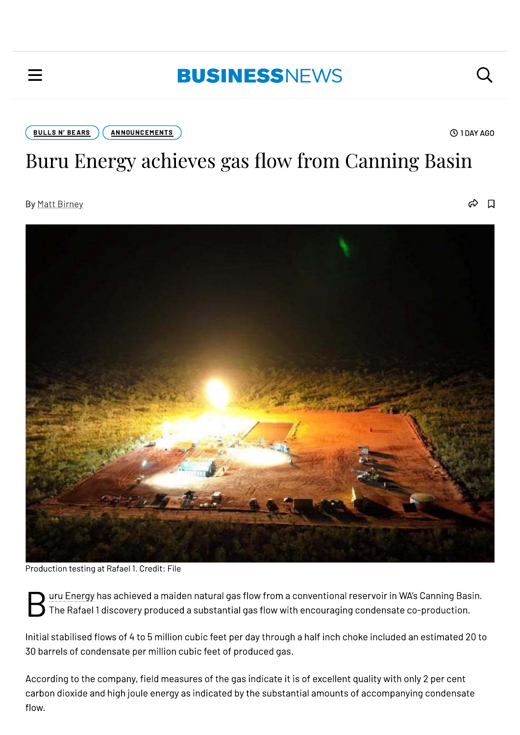## **BUSINESSNEWS**

**ANNOUNCEMENTS BULLS N' BEARS** 

**① 1DAY AGO** 

Q

# Buru Energy achieves gas flow from Canning Basin

By Matt Birney

 $\Box$ ക



Production testing at Rafael 1. Credit: File

uru Energy has achieved a maiden natural gas flow from a conventional reservoir in WA's Canning Basin. The Rafael 1 discovery produced a substantial gas flow with encouraging condensate co-production.

Initial stabilised flows of 4 to 5 million cubic feet per day through a half inch choke included an estimated 20 to 30 barrels of condensate per million cubic feet of produced gas.

According to the company, field measures of the gas indicate it is of excellent quality with only 2 per cent carbon dioxide and high joule energy as indicated by the substantial amounts of accompanying condensate flow.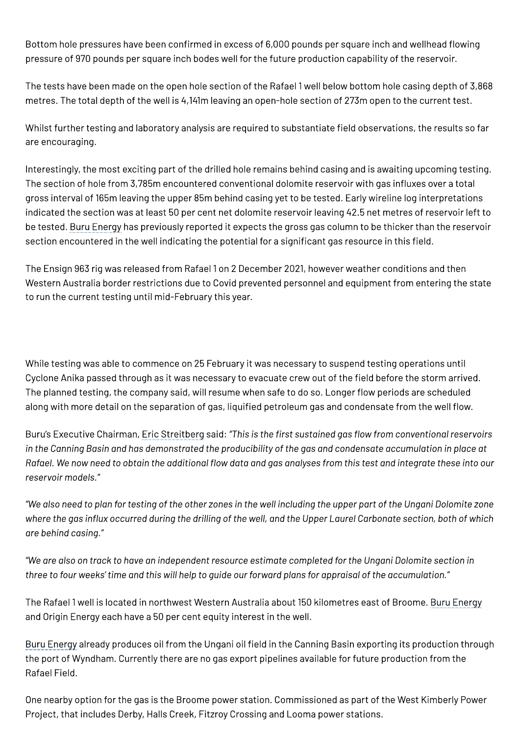Bottom hole pressures have been confirmed in excess of 6,000 pounds per square inch and wellhead flowing pressure of 970 pounds per square inch bodes well for the future production capability of the reservoir.

The tests have been made on the open hole section of the Rafael 1 well below bottom hole casing depth of 3,868 metres. The total depth of the well is 4,141m leaving an open-hole section of 273m open to the current test.

Whilst further testing and laboratory analysis are required to substantiate field observations, the results so far are encouraging.

Interestingly, the most exciting part of the drilled hole remains behind casing and is awaiting upcoming testing. The section of hole from 3,785m encountered conventional dolomite reservoir with gas influxes over a total gross interval of 165m leaving the upper 85m behind casing yet to be tested. Early wireline log interpretations indicated the section was at least 50 per cent net dolomite reservoir leaving 42.5 net metres of reservoir left to be tested. Buru Energy has previously reported it expects the gross gas column to be thicker than the reservoir section encountered in the well indicating the potential for a significant gas resource in this field.

The Ensign 963 rig was released from Rafael 1 on 2 December 2021, however weather conditions and then Western Australia border restrictions due to Covid prevented personnel and equipment from entering the state to run the current testing until mid-February this year.

While testing was able to commence on 25 February it was necessary to suspend testing operations until Cyclone Anika passed through as it was necessary to evacuate crew out of the field before the storm arrived. The planned testing, the company said, will resume when safe to do so. Longer flow periods are scheduled along with more detail on the separation of gas, liquified petroleum gas and condensate from the well flow.

Buru's Executive Chairman, Eric Streitberg said: "This is the first sustained gas flow from conventional reservoirs in the Canning Basin and has demonstrated the producibility of the gas and condensate accumulation in place at Rafael. We now need to obtain the additional flow data and gas analyses from this test and integrate these into our reservoir models."

"We also need to plan for testing of the other zones in the well including the upper part of the Ungani Dolomite zone where the gas influx occurred during the drilling of the well, and the Upper Laurel Carbonate section, both of which are behind casina."

"We are also on track to have an independent resource estimate completed for the Ungani Dolomite section in three to four weeks' time and this will help to guide our forward plans for appraisal of the accumulation."

The Rafael 1 well is located in northwest Western Australia about 150 kilometres east of Broome. Buru Energy and Origin Energy each have a 50 per cent equity interest in the well.

Buru Energy already produces oil from the Ungani oil field in the Canning Basin exporting its production through the port of Wyndham. Currently there are no gas export pipelines available for future production from the Rafael Field.

One nearby option for the gas is the Broome power station. Commissioned as part of the West Kimberly Power Project, that includes Derby, Halls Creek, Fitzroy Crossing and Looma power stations.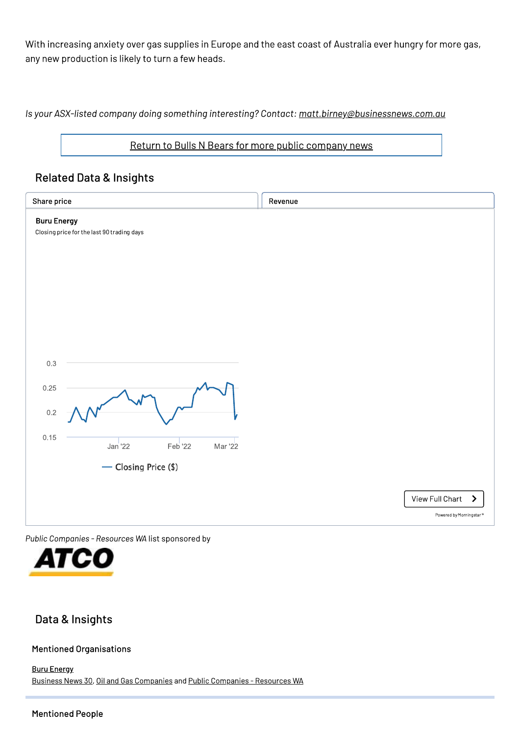With increasing anxiety over gas supplies in Europe and the east coast of Australia ever hungry for more gas, any new production is likely to turn a few heads.

Is your ASX-listed company doing something interesting? Contact: matt.birney@businessnews.com.au

#### Return to Bulls N Bears for more public company news

### **Related Data & Insights**

| <b>Buru Energy</b><br>Closing price for the last 90 trading days<br>$0.3\,$<br>0.25<br>$0.2\,$<br>0.15<br>Jan '22<br>Feb '22<br>Mar '22<br>- Closing Price (\$)<br>View Full Chart<br>ゝ<br>Powered by Morningstar® | Share price | Revenue |
|--------------------------------------------------------------------------------------------------------------------------------------------------------------------------------------------------------------------|-------------|---------|
|                                                                                                                                                                                                                    |             |         |
|                                                                                                                                                                                                                    |             |         |
|                                                                                                                                                                                                                    |             |         |
|                                                                                                                                                                                                                    |             |         |
|                                                                                                                                                                                                                    |             |         |
|                                                                                                                                                                                                                    |             |         |
|                                                                                                                                                                                                                    |             |         |
|                                                                                                                                                                                                                    |             |         |
|                                                                                                                                                                                                                    |             |         |
|                                                                                                                                                                                                                    |             |         |
|                                                                                                                                                                                                                    |             |         |
|                                                                                                                                                                                                                    |             |         |
|                                                                                                                                                                                                                    |             |         |
|                                                                                                                                                                                                                    |             |         |
|                                                                                                                                                                                                                    |             |         |
|                                                                                                                                                                                                                    |             |         |
|                                                                                                                                                                                                                    |             |         |
|                                                                                                                                                                                                                    |             |         |
|                                                                                                                                                                                                                    |             |         |
|                                                                                                                                                                                                                    |             |         |

Public Companies - Resources WA list sponsored by



## Data & Insights

#### **Mentioned Organisations**

**Buru Energy** Business News 30, Oil and Gas Companies and Public Companies - Resources WA

#### **Mentioned People**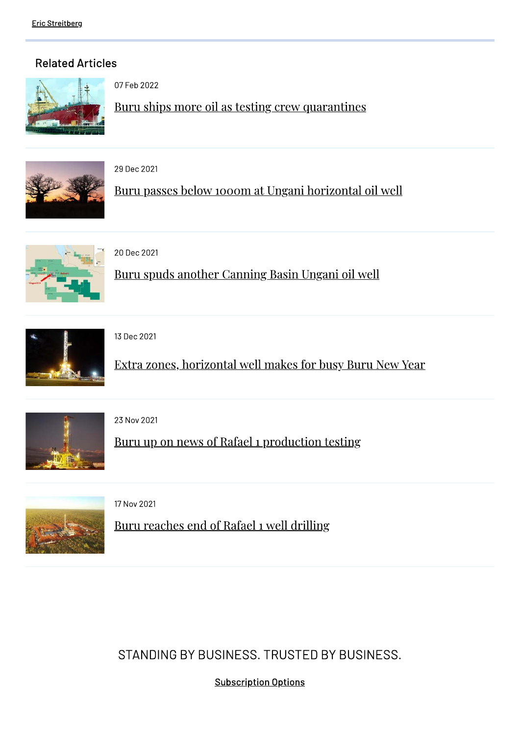## **Related Articles**



07 Feb 2022

Buru ships more oil as testing crew quarantines



29 Dec 2021

Buru passes below 1000m at Ungani horizontal oil well



20 Dec 2021

Buru spuds another Canning Basin Ungani oil well



13 Dec 2021

Extra zones, horizontal well makes for busy Buru New Year



23 Nov 2021

Buru up on news of Rafael 1 production testing



17 Nov 2021

Buru reaches end of Rafael 1 well drilling

STANDING BY BUSINESS, TRUSTED BY BUSINESS.

**Subscription Options**